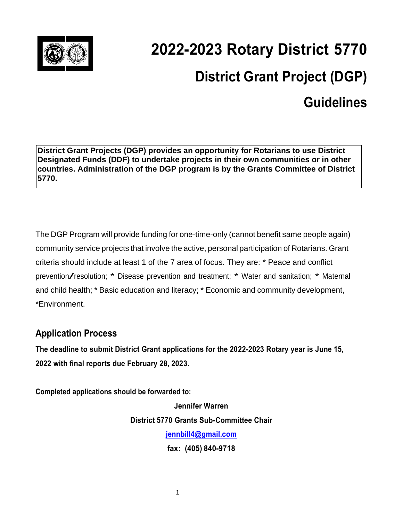

## **2022-2023 Rotary District 5770 District Grant Project (DGP) Guidelines**

**District Grant Projects (DGP) provides an opportunity for Rotarians to use District Designated Funds (DDF) to undertake projects in their own communities or in other countries. Administration of the DGP program is by the Grants Committee of District 5770.**

The DGP Program will provide funding for one-time-only (cannot benefit same people again) community service projects that involve the active, personal participation of Rotarians. Grant criteria should include at least 1 of the 7 area of focus. They are: \* Peace and conflict prevention/resolution; \* Disease prevention and treatment; \* Water and sanitation; \* Maternal and child health; \* Basic education and literacy; \* Economic and community development, \*Environment.

## **Application Process**

**The deadline to submit District Grant applications for the 2022-2023 Rotary year is June 15, 2022 with final reports due February 28, 2023.**

**Completed applications should be forwarded to:**

**Jennifer Warren District 5770 Grants Sub-Committee Chair [jennbill4@gmail.com](mailto:ford98@swbell.net) fax: (405) 840-9718**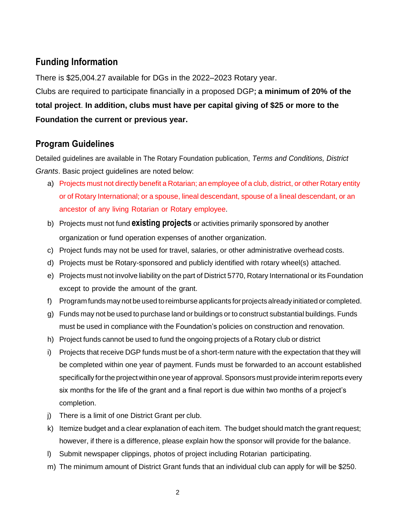## **Funding Information**

There is \$25,004.27 available for DGs in the 2022–2023 Rotary year. Clubs are required to participate financially in a proposed DGP**; a minimum of 20% of the total project**. **In addition, clubs must have per capital giving of \$25 or more to the Foundation the current or previous year.**

## **Program Guidelines**

Detailed guidelines are available in The Rotary Foundation publication, *Terms and Conditions, District Grants*. Basic project guidelines are noted below:

- a) Projects must not directly benefit a Rotarian; an employee of a club, district, or other Rotary entity or of Rotary International; or a spouse, lineal descendant, spouse of a lineal descendant, or an ancestor of any living Rotarian or Rotary employee.
- b) Projects must not fund **existing projects** or activities primarily sponsored by another organization or fund operation expenses of another organization.
- c) Project funds may not be used for travel, salaries, or other administrative overhead costs.
- d) Projects must be Rotary-sponsored and publicly identified with rotary wheel(s) attached.
- e) Projects must not involve liability on the part of District 5770, Rotary International or its Foundation except to provide the amount of the grant.
- f) Programfunds may not be used toreimburse applicants for projects already initiated or completed.
- g) Funds may not be used to purchase land or buildings or to construct substantial buildings. Funds must be used in compliance with the Foundation's policies on construction and renovation.
- h) Project funds cannot be used to fund the ongoing projects of a Rotary club or district
- i) Projects that receive DGP funds must be of a short-term nature with the expectation that they will be completed within one year of payment. Funds must be forwarded to an account established specifically for the project within one year of approval. Sponsors must provide interim reports every six months for the life of the grant and a final report is due within two months of a project's completion.
- j) There is a limit of one District Grant per club.
- k) Itemize budget and a clear explanation of each item. The budget should match the grant request; however, if there is a difference, please explain how the sponsor will provide for the balance.
- l) Submit newspaper clippings, photos of project including Rotarian participating.
- m) The minimum amount of District Grant funds that an individual club can apply for will be \$250.